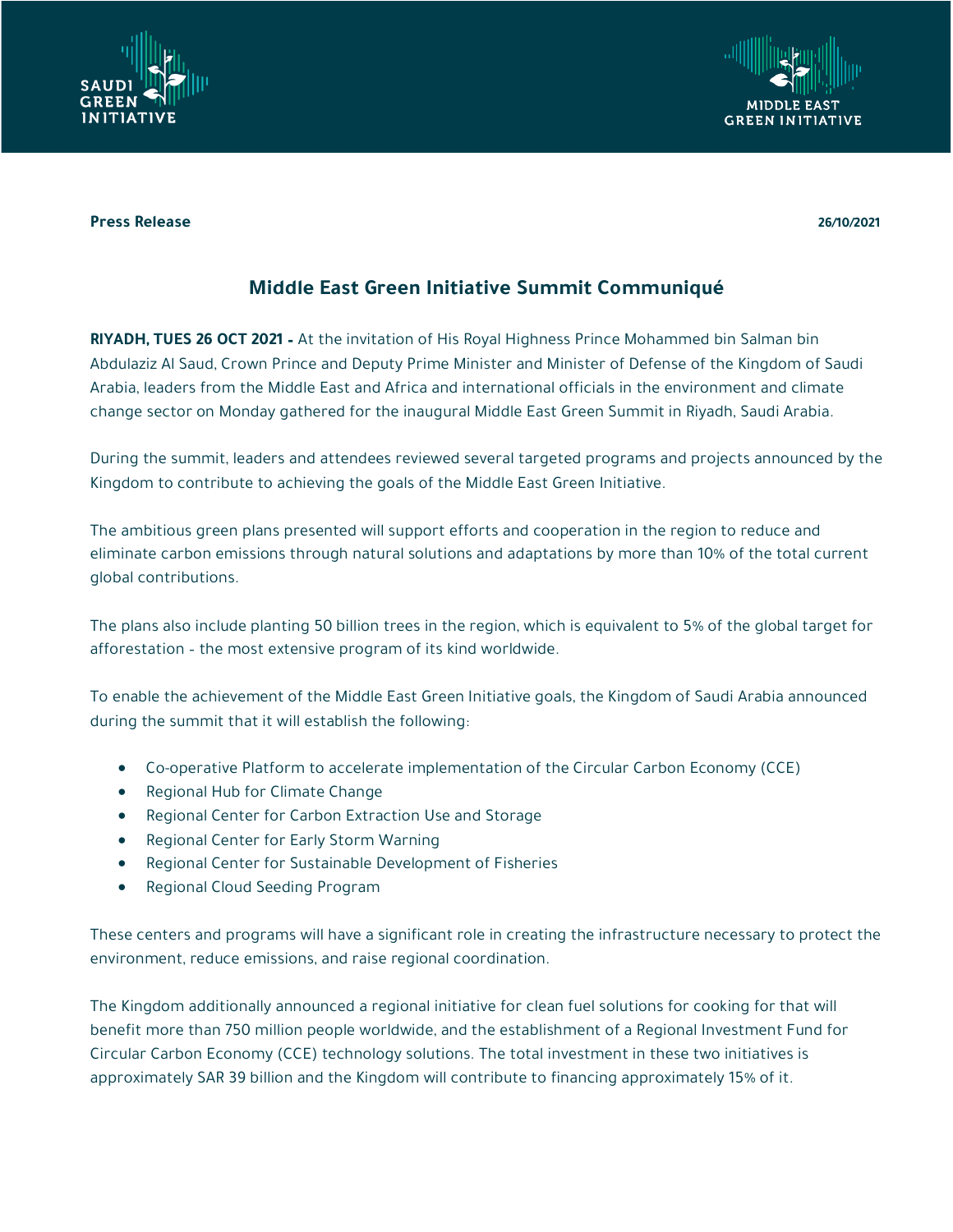

## **Press Release 26/10/2021**

## **Middle East Green Initiative Summit Communiqué**

**RIYADH, TUES 26 OCT 2021 –** At the invitation of His Royal Highness Prince Mohammed bin Salman bin Abdulaziz Al Saud, Crown Prince and Deputy Prime Minister and Minister of Defense of the Kingdom of Saudi Arabia, leaders from the Middle East and Africa and international officials in the environment and climate change sector on Monday gathered for the inaugural Middle East Green Summit in Riyadh, Saudi Arabia.

During the summit, leaders and attendees reviewed several targeted programs and projects announced by the Kingdom to contribute to achieving the goals of the Middle East Green Initiative.

The ambitious green plans presented will support efforts and cooperation in the region to reduce and eliminate carbon emissions through natural solutions and adaptations by more than 10% of the total current global contributions.

The plans also include planting 50 billion trees in the region, which is equivalent to 5% of the global target for afforestation – the most extensive program of its kind worldwide.

To enable the achievement of the Middle East Green Initiative goals, the Kingdom of Saudi Arabia announced during the summit that it will establish the following:

- Co-operative Platform to accelerate implementation of the Circular Carbon Economy (CCE)
- Regional Hub for Climate Change
- Regional Center for Carbon Extraction Use and Storage
- Regional Center for Early Storm Warning
- Regional Center for Sustainable Development of Fisheries
- Regional Cloud Seeding Program

These centers and programs will have a significant role in creating the infrastructure necessary to protect the environment, reduce emissions, and raise regional coordination.

The Kingdom additionally announced a regional initiative for clean fuel solutions for cooking for that will benefit more than 750 million people worldwide, and the establishment of a Regional Investment Fund for Circular Carbon Economy (CCE) technology solutions. The total investment in these two initiatives is approximately SAR 39 billion and the Kingdom will contribute to financing approximately 15% of it.